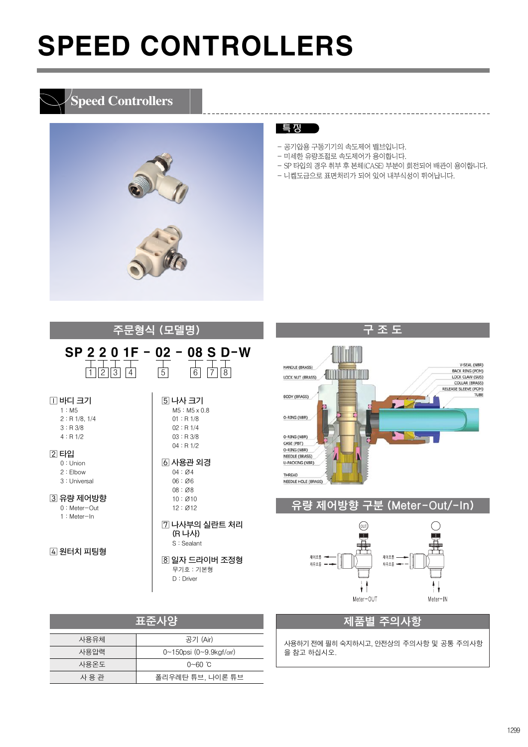### **Speed Controllers**



#### 특 징

- 공기압용 구동기기의 속도제어 밸브입니다.
- 미세한 유량조절로 속도제어가 용이합니다.
- SP 타입의 경우 취부 후 본체(CASE) 부분이 회전되어 배관이 용이합니다.

\_\_\_\_\_\_\_\_\_\_\_\_\_\_\_\_\_\_\_\_

- 니켈도금으로 표면처리가 되어 있어 내부식성이 뛰어납니다.

|                                                                                                                                                                           | <del>주문형<u>식</u> (모델명</del> )                                                                                                                                                                                                            |
|---------------------------------------------------------------------------------------------------------------------------------------------------------------------------|------------------------------------------------------------------------------------------------------------------------------------------------------------------------------------------------------------------------------------------|
| $1$ 2 3 4                                                                                                                                                                 | SP 2 2 0 1F - 02 - 08 S D-W<br>$6 \mid 7 \mid 8$<br>5                                                                                                                                                                                    |
| ∏ 바디 크기<br>1: M5<br>2: R1/8.1/4<br>3: R3/8<br>4: R1/2<br>[2] 타입<br>$0:$ Union<br>2:Elbow<br>3: Universal<br> 3  유량 제어방향<br>$0:$ Meter-Out<br>$1:$ Meter-In<br> 4] 원터치 피팅형 | ⑤ 나사 크기<br>$M5 : M5 \times 0.8$<br>01 : R 1/8<br>02 : R 1/4<br>03 : R3/8<br>04 : R1/2<br> 6  사용관 외경<br>04:Ø4<br>06:Ø6<br>08:Ø8<br>10:Ø10<br>12:Ø12<br>7 나사부의 실란트 처리<br>(R 나사)<br>S: Sealant<br>⑧ 일자 드라이버 조정형<br>무기호 : 기본형<br>$D:$ Driver |
|                                                                                                                                                                           |                                                                                                                                                                                                                                          |

|      | 표준사양                                         |
|------|----------------------------------------------|
| 사용유체 | 공기 (Air)                                     |
| 사용압력 | $0 \sim 150$ psi (0~9.9kgf/cm <sup>2</sup> ) |
| 사용온도 | 0~60 ℃                                       |
| 사용관  | 폴리우레탄 튜브, 나이론 튜브                             |

#### 구조도 V-SEAL (NBR) HANDLE (BRASS) BACK RING (POM) **ANTITIONING** LOCK NUT (BRASS) COLLAR (BRASS)<br>RELEASE SLEEVE (POM) BODY (BRASS) **TUB** F O-RING (NBR) O-RING (NBR) CASE (PBT) O-RING (NBR) NEEDLE (BRASS) V U-PACKING (NBR) THREAD NEEDLE HOLE (BRASS)

#### 유량 제어방향 구분 (Meter-Out/-In)



#### 제품별 주의사항

사용하기전에필히숙지하시고, 안전상의 주의사항 및 공통 주의사항 을 참고 하십시오.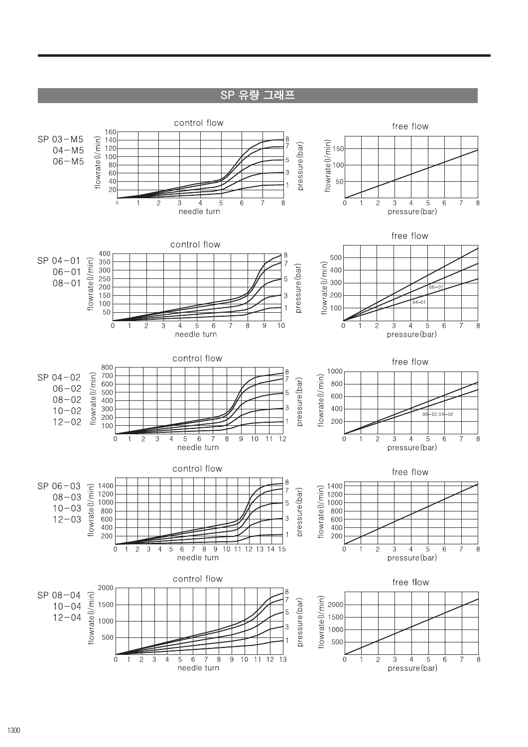SP 유량 그래프

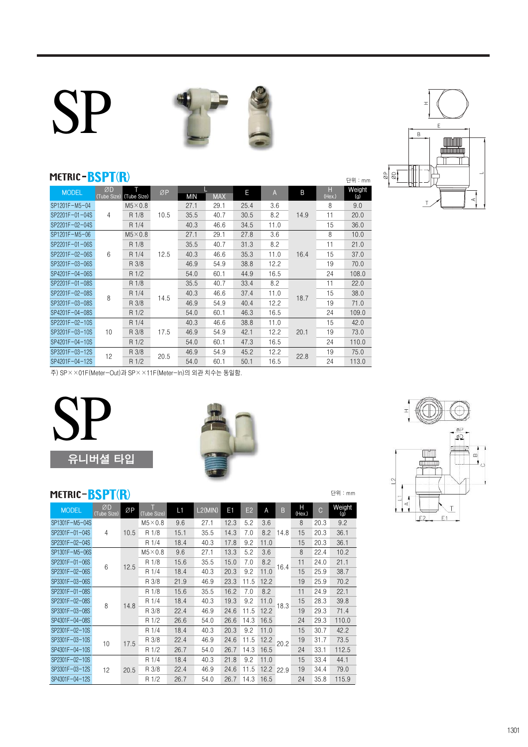# SP





단위 : mm

단위 : mm

#### METRIC-BSPT(R)

| <b>MODEL</b>   | ØD<br>(Tube Size) | Τ<br>(Tube Size) | ØP   | MIN  | <b>MAX</b> | E    | $\overline{A}$ | B    | H<br>(Hex.) | Weight<br>(g) |
|----------------|-------------------|------------------|------|------|------------|------|----------------|------|-------------|---------------|
| SP1201F-M5-04  |                   | $M5\times0.8$    |      | 27.1 | 29.1       | 25.4 | 3.6            |      | 8           | 9.0           |
| SP2201F-01-04S | 4                 | R 1/8            | 10.5 | 35.5 | 40.7       | 30.5 | 8.2            | 14.9 | 11          | 20.0          |
| SP2201F-02-04S |                   | R 1/4            |      | 40.3 | 46.6       | 34.5 | 11.0           |      | 15          | 36.0          |
| SP1201F-M5-06  |                   | $M5\times0.8$    |      | 27.1 | 29.1       | 27.8 | 3.6            |      | 8           | 10.0          |
| SP2201F-01-06S |                   | R 1/8            |      | 35.5 | 40.7       | 31.3 | 8.2            |      | 11          | 21.0          |
| SP2201F-02-06S | 6                 | R 1/4            | 12.5 | 40.3 | 46.6       | 35.3 | 11.0           | 16.4 | 15          | 37.0          |
| SP3201F-03-06S |                   | R 3/8            |      | 46.9 | 54.9       | 38.8 | 12.2           |      | 19          | 70.0          |
| SP4201F-04-06S |                   | R 1/2            |      | 54.0 | 60.1       | 44.9 | 16.5           |      | 24          | 108.0         |
| SP2201F-01-08S |                   | R 1/8            |      | 35.5 | 40.7       | 33.4 | 8.2            |      | 11          | 22.0          |
| SP2201F-02-08S | 8                 | R 1/4            | 14.5 | 40.3 | 46.6       | 37.4 | 11.0           | 18.7 | 15          | 38.0          |
| SP3201F-03-08S |                   | R 3/8            |      | 46.9 | 54.9       | 40.4 | 12.2           |      | 19          | 71.0          |
| SP4201F-04-08S |                   | R 1/2            |      | 54.0 | 60.1       | 46.3 | 16.5           |      | 24          | 109.0         |
| SP2201F-02-10S |                   | R 1/4            |      | 40.3 | 46.6       | 38.8 | 11.0           |      | 15          | 42.0          |
| SP3201F-03-10S | 10                | R 3/8            | 17.5 | 46.9 | 54.9       | 42.1 | 12.2           | 20.1 | 19          | 73.0          |
| SP4201F-04-10S |                   | R 1/2            |      | 54.0 | 60.1       | 47.3 | 16.5           |      | 24          | 110.0         |
| SP3201F-03-12S | 12                | R 3/8            | 20.5 | 46.9 | 54.9       | 45.2 | 12.2           | 22.8 | 19          | 75.0          |
| SP4201F-04-12S |                   | R 1/2            |      | 54.0 | 60.1       | 50.1 | 16.5           |      | 24          | 113.0         |

øP<br>SQ  $\begin{array}{c}\n\bullet \\
\bullet \\
\bullet\n\end{array}$  $\Box$  $\overline{2}$  $E1$  $E2$ 

# 유니버셜 타입 **SP**



### METRIC-BSPT(R)

| <b>MODEL</b>   | ØD<br>(Tube Size) | ØP   | (Tube Size)   | L1   | L2(MIN) | E <sub>1</sub> | E2   | A    | B    | Н<br>(Hex.) | C    | Weight<br>(g) |
|----------------|-------------------|------|---------------|------|---------|----------------|------|------|------|-------------|------|---------------|
| SP1301F-M5-04S |                   |      | $M5\times0.8$ | 9.6  | 27.1    | 12.3           | 5.2  | 3.6  |      | 8           | 20.3 | 9.2           |
| SP2301F-01-04S | 4                 | 10.5 | R 1/8         | 15.1 | 35.5    | 14.3           | 7.0  | 8.2  | 14.8 | 15          | 20.3 | 36.1          |
| SP2301F-02-04S |                   |      | R 1/4         | 18.4 | 40.3    | 17.8           | 9.2  | 11.0 |      | 15          | 20.3 | 36.1          |
| SP1301F-M5-06S |                   |      | $M5\times0.8$ | 9.6  | 27.1    | 13.3           | 5.2  | 3.6  |      | 8           | 22.4 | 10.2          |
| SP2301F-01-06S | 6                 | 12.5 | R 1/8         | 15.6 | 35.5    | 15.0           | 7.0  | 8.2  | 16.4 | 11          | 24.0 | 21.1          |
| SP2301F-02-06S |                   |      | R 1/4         | 18.4 | 40.3    | 20.3           | 9.2  | 11.0 |      | 15          | 25.9 | 38.7          |
| SP3301F-03-06S |                   |      | R 3/8         | 21.9 | 46.9    | 23.3           | 11.5 | 12.2 |      | 19          | 25.9 | 70.2          |
| SP2301F-01-08S |                   |      | R 1/8         | 15.6 | 35.5    | 16.2           | 7.0  | 8.2  |      | 11          | 24.9 | 22.1          |
| SP2301F-02-08S | 8                 | 14.8 | R 1/4         | 18.4 | 40.3    | 19.3           | 9.2  | 11.0 | 18.3 | 15          | 28.3 | 39.8          |
| SP3301F-03-08S |                   |      | R 3/8         | 22.4 | 46.9    | 24.6           | 11.5 | 12.2 |      | 19          | 29.3 | 71.4          |
| SP4301F-04-08S |                   |      | R 1/2         | 26.6 | 54.0    | 26.6           | 14.3 | 16.5 |      | 24          | 29.3 | 110.0         |
| SP2301F-02-10S |                   |      | R 1/4         | 18.4 | 40.3    | 20.3           | 9.2  | 11.0 |      | 15          | 30.7 | 42.2          |
| SP3301F-03-10S | 10                | 17.5 | R 3/8         | 22.4 | 46.9    | 24.6           | 11.5 | 12.2 | 20.2 | 19          | 31.7 | 73.5          |
| SP4301F-04-10S |                   |      | R 1/2         | 26.7 | 54.0    | 26.7           | 14.3 | 16.5 |      | 24          | 33.1 | 112.5         |
| SP2301F-02-10S |                   |      | R 1/4         | 18.4 | 40.3    | 21.8           | 9.2  | 11.0 |      | 15          | 33.4 | 44.1          |
| SP3301F-03-12S | 12                | 20.5 | R 3/8         | 22.4 | 46.9    | 24.6           | 11.5 | 12.2 | 22.9 | 19          | 34.4 | 79.0          |
| SP4301F-04-12S |                   |      | R 1/2         | 26.7 | 54.0    | 26.7           | 14.3 | 16.5 |      | 24          | 35.8 | 115.9         |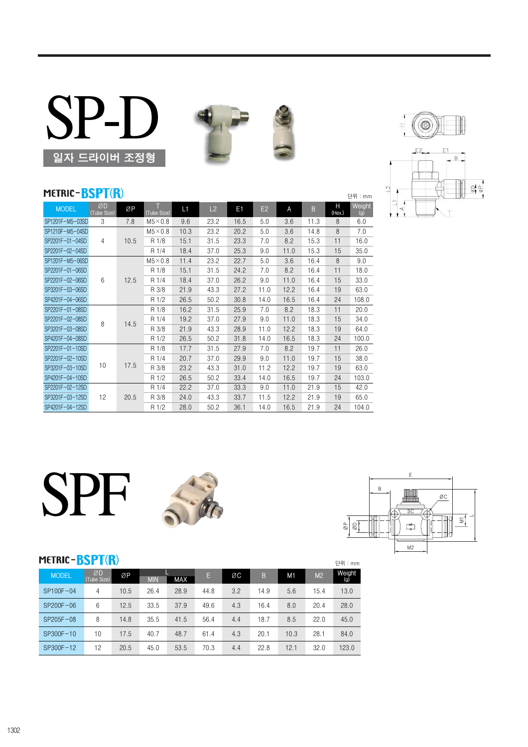



#### METRIC-BSPT(R)

| MEIRIC- <mark>DSPI(K</mark> )<br>단위 : mm |                   |      |                  |      |      |      |      |      |      |             |               |  |
|------------------------------------------|-------------------|------|------------------|------|------|------|------|------|------|-------------|---------------|--|
| <b>MODEL</b>                             | ØD<br>(Tube Size) | ØΡ   | T<br>(Tube Size) | L1   | L2   | E1   | E2   | A    | B    | Н<br>(Hex.) | Weight<br>(g) |  |
| SP1201F-M5-03SD                          | 3                 | 7.8  | $M5\times0.8$    | 9.6  | 23.2 | 16.5 | 5.0  | 3.6  | 11.3 | 8           | 6.0           |  |
| SP1210F-M5-04SD                          |                   |      | $M5\times0.8$    | 10.3 | 23.2 | 20.2 | 5.0  | 3.6  | 14.8 | 8           | 7.0           |  |
| SP2201F-01-04SD                          | $\overline{4}$    | 10.5 | R 1/8            | 15.1 | 31.5 | 23.3 | 7.0  | 8.2  | 15.3 | 11          | 16.0          |  |
| SP2201F-02-04SD                          |                   |      | R 1/4            | 18.4 | 37.0 | 25.3 | 9.0  | 11.0 | 15.3 | 15          | 35.0          |  |
| SP1201F-M5-06SD                          |                   |      | $M5 \times 0.8$  | 11.4 | 23.2 | 22.7 | 5.0  | 3.6  | 16.4 | 8           | 9.0           |  |
| SP2201F-01-06SD                          |                   |      | R 1/8            | 15.1 | 31.5 | 24.2 | 7.0  | 8.2  | 16.4 | 11          | 18.0          |  |
| SP2201F-02-06SD                          | 6                 | 12.5 | R 1/4            | 18.4 | 37.0 | 26.2 | 9.0  | 11.0 | 16.4 | 15          | 33.0          |  |
| SP3201F-03-06SD                          |                   |      | R 3/8            | 21.9 | 43.3 | 27.2 | 11.0 | 12.2 | 16.4 | 19          | 63.0          |  |
| SP4201F-04-06SD                          |                   |      | R 1/2            | 26.5 | 50.2 | 30.8 | 14.0 | 16.5 | 16.4 | 24          | 108.0         |  |
| SP2201F-01-08SD                          |                   |      | R 1/8            | 16.2 | 31.5 | 25.9 | 7.0  | 8.2  | 18.3 | 11          | 20.0          |  |
| SP2201F-02-08SD                          | 8                 |      | R 1/4            | 19.2 | 37.0 | 27.9 | 9.0  | 11.0 | 18.3 | 15          | 34.0          |  |
| SP3201F-03-08SD                          |                   | 14.5 | R 3/8            | 21.9 | 43.3 | 28.9 | 11.0 | 12.2 | 18.3 | 19          | 64.0          |  |
| SP4201F-04-08SD                          |                   |      | R 1/2            | 26.5 | 50.2 | 31.8 | 14.0 | 16.5 | 18.3 | 24          | 100.0         |  |
| SP2201F-01-10SD                          |                   |      | R 1/8            | 17.7 | 31.5 | 27.9 | 7.0  | 8.2  | 19.7 | 11          | 26.0          |  |
| SP2201F-02-10SD                          |                   |      | R 1/4            | 20.7 | 37.0 | 29.9 | 9.0  | 11.0 | 19.7 | 15          | 38.0          |  |
| SP3201F-03-10SD                          | 10                | 17.5 | R 3/8            | 23.2 | 43.3 | 31.0 | 11.2 | 12.2 | 19.7 | 19          | 63.0          |  |
| SP4201F-04-10SD                          |                   |      | R 1/2            | 26.5 | 50.2 | 33.4 | 14.0 | 16.5 | 19.7 | 24          | 103.0         |  |
| SP2201F-02-12SD                          |                   |      | R 1/4            | 22.2 | 37.0 | 33.3 | 9.0  | 11.0 | 21.9 | 15          | 42.0          |  |
| SP3201F-03-12SD                          | 12                | 20.5 | R 3/8            | 24.0 | 43.3 | 33.7 | 11.5 | 12.2 | 21.9 | 19          | 65.0          |  |
| SP4201F-04-12SD                          |                   |      | R 1/2            | 28.0 | 50.2 | 36.1 | 14.0 | 16.5 | 21.9 | 24          | 104.0         |  |









#### METRIC-BSPT(R)

| <b>MODEL</b> | ØD<br>(Tube Size) | ØP   | <b>MIN</b> | <b>MAX</b> | E,   | ØC  | B    | M <sub>1</sub> | M <sub>2</sub> | Weight<br>(g) |
|--------------|-------------------|------|------------|------------|------|-----|------|----------------|----------------|---------------|
| SP100F-04    | 4                 | 10.5 | 26.4       | 28.9       | 44.8 | 3.2 | 14.9 | 5.6            | 15.4           | 13.0          |
| SP200F-06    | 6                 | 12.5 | 33.5       | 37.9       | 49.6 | 4.3 | 16.4 | 8.0            | 20.4           | 28.0          |
| SP205F-08    | 8                 | 14.8 | 35.5       | 41.5       | 56.4 | 4.4 | 18.7 | 8.5            | 22.0           | 45.0          |
| SP300F-10    | 10                | 17.5 | 40.7       | 48.7       | 61.4 | 4.3 | 20.1 | 10.3           | 28.1           | 84.0          |
| SP300F-12    | 12                | 20.5 | 45.0       | 53.5       | 70.3 | 4.4 | 22.8 | 12.1           | 32.0           | 123.0         |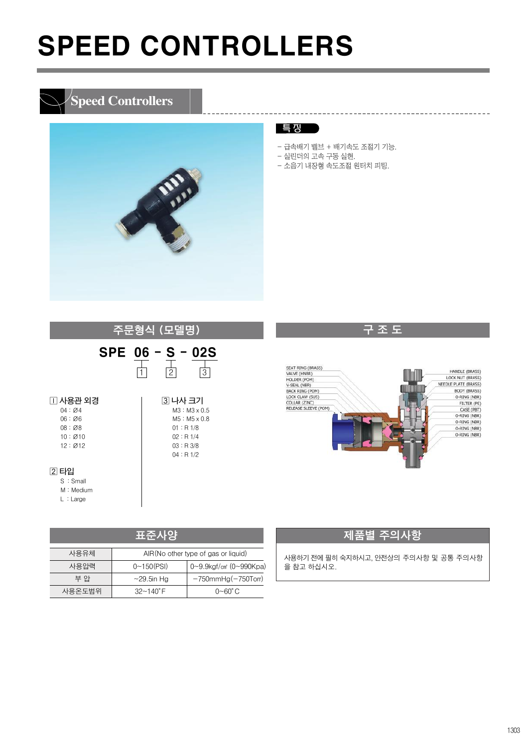### **Speed Controllers**



#### 특 징

- 급속배기 밸브 + 배기속도 조절기 기능.
- 실린더의 고속 구동 실현.
- 소음기 내장형 속도조절 원터치 피팅.





구조도

-----------------------------------

|        | 표준사양                 |                                             |
|--------|----------------------|---------------------------------------------|
| 사용유체   |                      | AIR(No other type of gas or liquid)         |
| 사용압력   | $0 \sim 150$ (PSI)   | $0 \sim 9.9$ kgf/cm <sup>2</sup> (0~990Kpa) |
| 부 안    | $\sim$ 29.5in Hg     | $-750$ mmHg $(-750$ Torr)                   |
| 사용온도범위 | $32 - 140^{\circ}$ F | $0\neg 60^\circ C$                          |

#### 제품별 주의사항

사용하기전에필히숙지하시고, 안전상의 주의사항 및 공통 주의사항 을 참고 하십시오.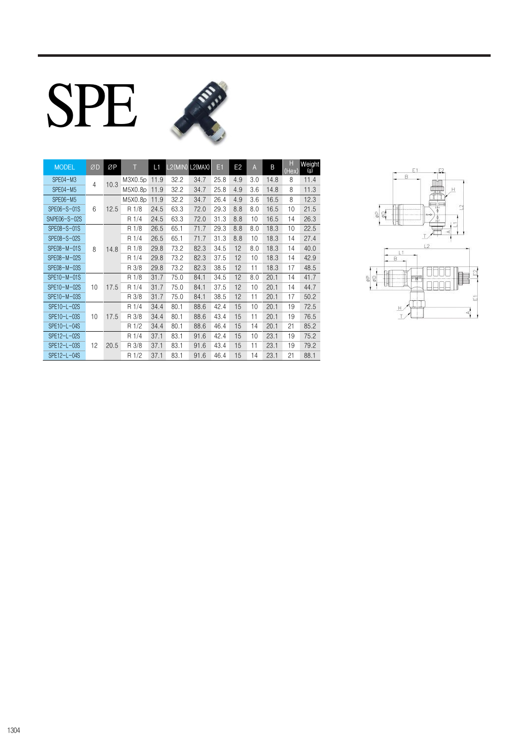# SPE



| <b>MODEL</b> | ØD | ØΡ   |         | L1   | $L2(MIN)$ L2(MAX) |      | E1   | E <sub>2</sub> | A    | B     | H<br>(Hex) | Weight<br>(g) |      |      |    |    |      |    |      |  |  |  |       |      |      |      |      |    |    |      |    |      |  |  |  |  |  |  |  |  |  |       |      |      |      |      |    |    |      |    |      |
|--------------|----|------|---------|------|-------------------|------|------|----------------|------|-------|------------|---------------|------|------|----|----|------|----|------|--|--|--|-------|------|------|------|------|----|----|------|----|------|--|--|--|--|--|--|--|--|--|-------|------|------|------|------|----|----|------|----|------|
| SPE04-M3     | 4  | 10.3 | M3X0.5p | 11.9 | 32.2              | 34.7 | 25.8 | 4.9            | 3.0  | 14.8  | 8          | 11.4          |      |      |    |    |      |    |      |  |  |  |       |      |      |      |      |    |    |      |    |      |  |  |  |  |  |  |  |  |  |       |      |      |      |      |    |    |      |    |      |
| $SPE04 - M5$ |    |      | M5X0.8p | 11.9 | 32.2              | 34.7 | 25.8 | 4.9            | 3.6  | 14.8  | 8          | 11.3          |      |      |    |    |      |    |      |  |  |  |       |      |      |      |      |    |    |      |    |      |  |  |  |  |  |  |  |  |  |       |      |      |      |      |    |    |      |    |      |
| SPE06-M5     |    |      | M5X0.8p | 11.9 | 32.2              | 34.7 | 26.4 | 4.9            | 3.6  | 16.5  | 8          | 12.3          |      |      |    |    |      |    |      |  |  |  |       |      |      |      |      |    |    |      |    |      |  |  |  |  |  |  |  |  |  |       |      |      |      |      |    |    |      |    |      |
| SPE06-S-01S  | 6  | 12.5 | R 1/8   | 24.5 | 63.3              | 72.0 | 29.3 | 8.8            | 8.0  | 16.5  | 10         | 21.5          |      |      |    |    |      |    |      |  |  |  |       |      |      |      |      |    |    |      |    |      |  |  |  |  |  |  |  |  |  |       |      |      |      |      |    |    |      |    |      |
| SNPE06-S-02S |    |      | R 1/4   | 24.5 | 63.3              | 72.0 | 31.3 | 8.8            | 10   | 16.5  | 14         | 26.3          |      |      |    |    |      |    |      |  |  |  |       |      |      |      |      |    |    |      |    |      |  |  |  |  |  |  |  |  |  |       |      |      |      |      |    |    |      |    |      |
| SPE08-S-01S  |    |      | R 1/8   | 26.5 | 65.1              | 71.7 | 29.3 | 8.8            | 8.0  | 18.3  | 10         | 22.5          |      |      |    |    |      |    |      |  |  |  |       |      |      |      |      |    |    |      |    |      |  |  |  |  |  |  |  |  |  |       |      |      |      |      |    |    |      |    |      |
| SPE08-S-02S  |    |      | R 1/4   | 26.5 | 65.1              | 71.7 | 31.3 | 8.8            | 10   | 18.3  | 14         | 27.4          |      |      |    |    |      |    |      |  |  |  |       |      |      |      |      |    |    |      |    |      |  |  |  |  |  |  |  |  |  |       |      |      |      |      |    |    |      |    |      |
| SPE08-M-01S  | 8  | 14.8 |         |      | R 1/8             | 29.8 | 73.2 | 82.3           | 34.5 | 12    | 8.0        | 18.3          | 14   | 40.0 |    |    |      |    |      |  |  |  |       |      |      |      |      |    |    |      |    |      |  |  |  |  |  |  |  |  |  |       |      |      |      |      |    |    |      |    |      |
| SPE08-M-02S  |    |      | R 1/4   | 29.8 | 73.2              | 82.3 | 37.5 | 12             | 10   | 18.3  | 14         | 42.9          |      |      |    |    |      |    |      |  |  |  |       |      |      |      |      |    |    |      |    |      |  |  |  |  |  |  |  |  |  |       |      |      |      |      |    |    |      |    |      |
| SPE08-M-03S  |    |      | R 3/8   | 29.8 | 73.2              | 82.3 | 38.5 | 12             | 11   | 18.3  | 17         | 48.5          |      |      |    |    |      |    |      |  |  |  |       |      |      |      |      |    |    |      |    |      |  |  |  |  |  |  |  |  |  |       |      |      |      |      |    |    |      |    |      |
| SPE10-M-01S  |    |      | R 1/8   | 31.7 | 75.0              | 84.1 | 34.5 | 12             | 8.0  | 20.1  | 14         | 41.7          |      |      |    |    |      |    |      |  |  |  |       |      |      |      |      |    |    |      |    |      |  |  |  |  |  |  |  |  |  |       |      |      |      |      |    |    |      |    |      |
| SPE10-M-02S  | 10 | 17.5 | R 1/4   | 31.7 | 75.0              | 84.1 | 37.5 | 12             | 10   | 20.1  | 14         | 44.7          |      |      |    |    |      |    |      |  |  |  |       |      |      |      |      |    |    |      |    |      |  |  |  |  |  |  |  |  |  |       |      |      |      |      |    |    |      |    |      |
| SPE10-M-03S  |    |      | R 3/8   | 31.7 | 75.0              | 84.1 | 38.5 | 12             | 11   | 20.1  | 17         | 50.2          |      |      |    |    |      |    |      |  |  |  |       |      |      |      |      |    |    |      |    |      |  |  |  |  |  |  |  |  |  |       |      |      |      |      |    |    |      |    |      |
| SPE10-L-02S  |    | 17.5 |         |      |                   |      |      |                |      | R 1/4 | 34.4       | 80.1          | 88.6 | 42.4 | 15 | 10 | 20.1 | 19 | 72.5 |  |  |  |       |      |      |      |      |    |    |      |    |      |  |  |  |  |  |  |  |  |  |       |      |      |      |      |    |    |      |    |      |
| SPE10-L-03S  | 10 |      |         |      |                   |      |      |                |      |       |            |               |      |      |    |    |      |    |      |  |  |  |       |      |      |      |      |    |    |      |    |      |  |  |  |  |  |  |  |  |  | R 3/8 | 34.4 | 80.1 | 88.6 | 43.4 | 15 | 11 | 20.1 | 19 | 76.5 |
| SPE10-L-04S  |    |      |         |      |                   |      |      |                |      |       |            |               |      |      |    |    |      |    |      |  |  |  | R 1/2 | 34.4 | 80.1 | 88.6 | 46.4 | 15 | 14 | 20.1 | 21 | 85.2 |  |  |  |  |  |  |  |  |  |       |      |      |      |      |    |    |      |    |      |
| SPE12-L-02S  |    |      | R 1/4   | 37.1 | 83.1              | 91.6 | 42.4 | 15             | 10   | 23.1  | 19         | 75.2          |      |      |    |    |      |    |      |  |  |  |       |      |      |      |      |    |    |      |    |      |  |  |  |  |  |  |  |  |  |       |      |      |      |      |    |    |      |    |      |
| SPE12-L-03S  | 12 | 20.5 | R 3/8   | 37.1 | 83.1              | 91.6 | 43.4 | 15             | 11   | 23.1  | 19         | 79.2          |      |      |    |    |      |    |      |  |  |  |       |      |      |      |      |    |    |      |    |      |  |  |  |  |  |  |  |  |  |       |      |      |      |      |    |    |      |    |      |
| SPE12-L-04S  |    |      | R 1/2   | 37.1 | 83.1              | 91.6 | 46.4 | 15             | 14   | 23.1  | 21         | 88.1          |      |      |    |    |      |    |      |  |  |  |       |      |      |      |      |    |    |      |    |      |  |  |  |  |  |  |  |  |  |       |      |      |      |      |    |    |      |    |      |

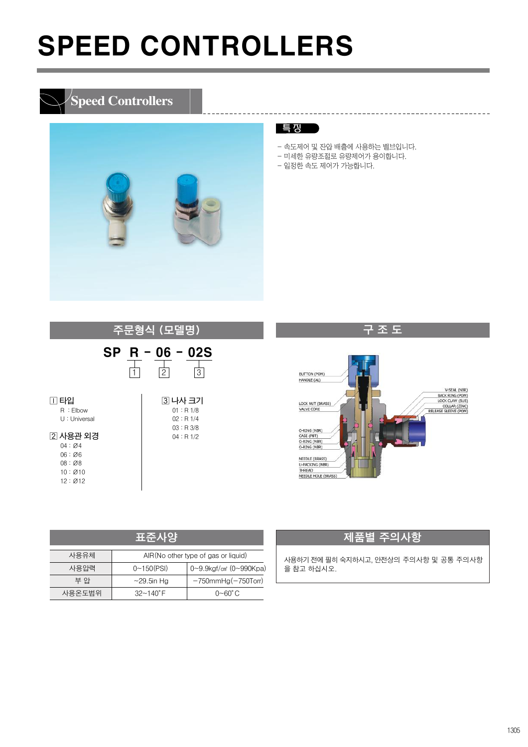### **Speed Controllers**



#### 특 징

- 속도제어 및 잔압 배출에 사용하는 밸브입니다.

------------------------------------

- 미세한 유량조절로 유량제어가 용이합니다.
- 일정한 속도 제어가 가능합니다.





| 표준사양                                         |                                                           |                           |  |  |  |  |  |  |  |  |  |
|----------------------------------------------|-----------------------------------------------------------|---------------------------|--|--|--|--|--|--|--|--|--|
| 사용유체<br>AIR (No other type of gas or liquid) |                                                           |                           |  |  |  |  |  |  |  |  |  |
| 사용압력                                         | 0~9.9kgf/cm <sup>2</sup> (0~990Kpa)<br>$0 \sim 150$ (PSI) |                           |  |  |  |  |  |  |  |  |  |
| 부 안                                          | $\sim$ 29.5in Hg                                          | $-750$ mmHg $(-750$ Torr) |  |  |  |  |  |  |  |  |  |
| 사용온도범위                                       | $32 - 140^{\circ}$ F                                      | 0~60°C                    |  |  |  |  |  |  |  |  |  |

#### 제품별 주의사항

사용하기전에필히숙지하시고, 안전상의 주의사항 및 공통 주의사항 을 참고 하십시오.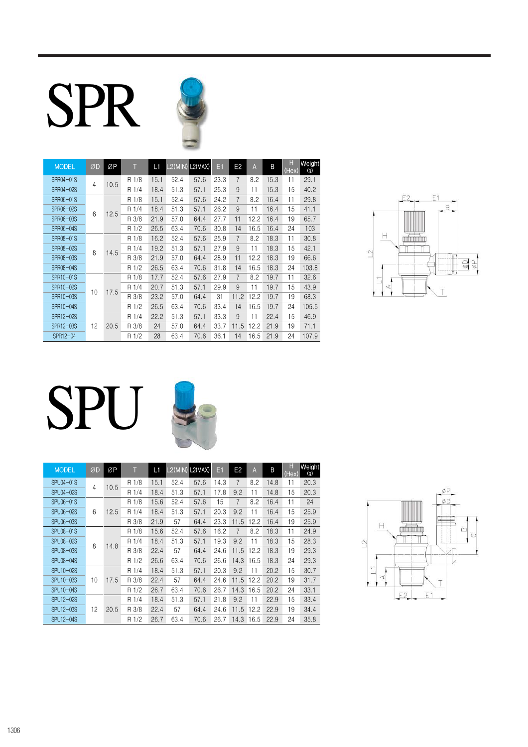# SPR



| <b>MODEL</b> | ØD             | ØP   |          | L1   | L2(MIN) L2(MAX) |      | Eí    | E <sub>2</sub> | $\overline{A}$ | B    | H<br>(Hex) | Weight<br>(g) |     |      |    |      |  |  |  |  |  |  |  |  |  |       |      |      |      |      |   |    |      |    |      |  |  |  |  |  |  |  |       |      |      |      |      |      |      |      |    |       |
|--------------|----------------|------|----------|------|-----------------|------|-------|----------------|----------------|------|------------|---------------|-----|------|----|------|--|--|--|--|--|--|--|--|--|-------|------|------|------|------|---|----|------|----|------|--|--|--|--|--|--|--|-------|------|------|------|------|------|------|------|----|-------|
| SPR04-01S    | $\overline{4}$ | 10.5 | R 1/8    | 15.1 | 52.4            | 57.6 | 23.3  | 7              | 8.2            | 15.3 | 11         | 29.1          |     |      |    |      |  |  |  |  |  |  |  |  |  |       |      |      |      |      |   |    |      |    |      |  |  |  |  |  |  |  |       |      |      |      |      |      |      |      |    |       |
| SPR04-02S    |                |      | R 1/4    | 18.4 | 51.3            | 57.1 | 25.3  | 9              | 11             | 15.3 | 15         | 40.2          |     |      |    |      |  |  |  |  |  |  |  |  |  |       |      |      |      |      |   |    |      |    |      |  |  |  |  |  |  |  |       |      |      |      |      |      |      |      |    |       |
| SPR06-01S    |                |      | R 1/8    | 15.1 | 52.4            | 57.6 | 24.2  | 7              | 8.2            | 16.4 | 11         | 29.8          |     |      |    |      |  |  |  |  |  |  |  |  |  |       |      |      |      |      |   |    |      |    |      |  |  |  |  |  |  |  |       |      |      |      |      |      |      |      |    |       |
| SPR06-02S    | 6<br>12.5      |      | R 1/4    | 18.4 | 51.3            | 57.1 | 26.2  | 9              | 11             | 16.4 | 15         | 41.1          |     |      |    |      |  |  |  |  |  |  |  |  |  |       |      |      |      |      |   |    |      |    |      |  |  |  |  |  |  |  |       |      |      |      |      |      |      |      |    |       |
| SPR06-03S    |                |      | R 3/8    | 21.9 | 57.0            | 64.4 | 27.7  | 11             | 12.2           | 16.4 | 19         | 65.7          |     |      |    |      |  |  |  |  |  |  |  |  |  |       |      |      |      |      |   |    |      |    |      |  |  |  |  |  |  |  |       |      |      |      |      |      |      |      |    |       |
| SPR06-04S    |                |      | R 1/2    | 26.5 | 63.4            | 70.6 | 30.8  | 14             | 16.5           | 16.4 | 24         | 103           |     |      |    |      |  |  |  |  |  |  |  |  |  |       |      |      |      |      |   |    |      |    |      |  |  |  |  |  |  |  |       |      |      |      |      |      |      |      |    |       |
| SPR08-01S    |                | 14.5 |          |      |                 |      | R 1/8 | 16.2           | 52.4           | 57.6 | 25.9       | 7             | 8.2 | 18.3 | 11 | 30.8 |  |  |  |  |  |  |  |  |  |       |      |      |      |      |   |    |      |    |      |  |  |  |  |  |  |  |       |      |      |      |      |      |      |      |    |       |
| SPR08-02S    | 8              |      | R 1/4    | 19.2 | 51.3            | 57.1 | 27.9  | 9              | 11             | 18.3 | 15         | 42.1          |     |      |    |      |  |  |  |  |  |  |  |  |  |       |      |      |      |      |   |    |      |    |      |  |  |  |  |  |  |  |       |      |      |      |      |      |      |      |    |       |
| SPR08-03S    |                |      | R 3/8    | 21.9 | 57.0            | 64.4 | 28.9  | 11             | 12.2           | 18.3 | 19         | 66.6          |     |      |    |      |  |  |  |  |  |  |  |  |  |       |      |      |      |      |   |    |      |    |      |  |  |  |  |  |  |  |       |      |      |      |      |      |      |      |    |       |
| SPR08-04S    |                |      | 1/2<br>R | 26.5 | 63.4            | 70.6 | 31.8  | 14             | 16.5           | 18.3 | 24         | 103.8         |     |      |    |      |  |  |  |  |  |  |  |  |  |       |      |      |      |      |   |    |      |    |      |  |  |  |  |  |  |  |       |      |      |      |      |      |      |      |    |       |
| SPR10-01S    |                |      | 1/8<br>R | 17.7 | 52.4            | 57.6 | 27.9  | 7              | 8.2            | 19.7 | 11         | 32.6          |     |      |    |      |  |  |  |  |  |  |  |  |  |       |      |      |      |      |   |    |      |    |      |  |  |  |  |  |  |  |       |      |      |      |      |      |      |      |    |       |
| SPR10-02S    |                |      |          |      |                 | 17.5 |       |                |                |      |            |               |     |      |    |      |  |  |  |  |  |  |  |  |  | R 1/4 | 20.7 | 51.3 | 57.1 | 29.9 | 9 | 11 | 19.7 | 15 | 43.9 |  |  |  |  |  |  |  |       |      |      |      |      |      |      |      |    |       |
| SPR10-03S    |                |      |          |      | 10              |      |       |                |                |      |            |               |     |      |    |      |  |  |  |  |  |  |  |  |  |       |      |      |      |      |   |    |      |    |      |  |  |  |  |  |  |  | R 3/8 | 23.2 | 57.0 | 64.4 | 31   | 11.2 | 12.2 | 19.7 | 19 | 68.3  |
| SPR10-04S    |                |      |          |      |                 |      |       |                |                |      |            |               |     |      |    |      |  |  |  |  |  |  |  |  |  |       |      |      |      |      |   |    |      |    |      |  |  |  |  |  |  |  | R 1/2 | 26.5 | 63.4 | 70.6 | 33.4 | 14   | 16.5 | 19.7 | 24 | 105.5 |
| SPR12-02S    |                |      |          |      | R 1/4           | 22.2 | 51.3  | 57.1           | 33.3           | 9    | 11         | 22.4          | 15  | 46.9 |    |      |  |  |  |  |  |  |  |  |  |       |      |      |      |      |   |    |      |    |      |  |  |  |  |  |  |  |       |      |      |      |      |      |      |      |    |       |
| SPR12-03S    | 12             | 20.5 | R 3/8    | 24   | 57.0            | 64.4 | 33.7  | 11.5           | 12.2           | 21.9 | 19         | 71.1          |     |      |    |      |  |  |  |  |  |  |  |  |  |       |      |      |      |      |   |    |      |    |      |  |  |  |  |  |  |  |       |      |      |      |      |      |      |      |    |       |
| SPR12-04     |                |      | R 1/2    | 28   | 63.4            | 70.6 | 36.1  | 14             | 16.5           | 21.9 | 24         | 107.9         |     |      |    |      |  |  |  |  |  |  |  |  |  |       |      |      |      |      |   |    |      |    |      |  |  |  |  |  |  |  |       |      |      |      |      |      |      |      |    |       |



# SPU

| <b>MODEL</b> | ØD | ØP   |       | L1    | L2(MIN) L2(MAX) |      | E1   | E <sub>2</sub> | A    | B    | H<br>(Hex) | Weight<br>(g) |
|--------------|----|------|-------|-------|-----------------|------|------|----------------|------|------|------------|---------------|
| SPU04-01S    | 4  | 10.5 | R 1/8 | 15.1  | 52.4            | 57.6 | 14.3 | 7              | 8.2  | 14.8 | 11         | 20.3          |
| SPU04-02S    |    |      | R 1/4 | 18.4  | 51.3            | 57.1 | 17.8 | 9.2            | 11   | 14.8 | 15         | 20.3          |
| SPU06-01S    |    |      | R 1/8 | 15.6  | 52.4            | 57.6 | 15   | $\overline{7}$ | 8.2  | 16.4 | 11         | 24            |
| SPU06-02S    | 6  | 12.5 | R 1/4 | 18.4  | 51.3            | 57.1 | 20.3 | 9.2            | 11   | 16.4 | 15         | 25.9          |
| SPU06-03S    |    |      | R 3/8 | 21.9  | 57              | 64.4 | 23.3 | 11.5           | 12.2 | 16.4 | 19         | 25.9          |
| SPU08-01S    |    |      | R 1/8 | 15.6  | 52.4            | 57.6 | 16.2 | $\overline{7}$ | 8.2  | 18.3 | 11         | 24.9          |
| SPU08-02S    | 8  | 14.8 | R 1/4 | 18.4  | 51.3            | 57.1 | 19.3 | 9.2            | 11   | 18.3 | 15         | 28.3          |
| SPU08-03S    |    |      |       | R 3/8 | 22.4            | 57   | 64.4 | 24.6           | 11.5 | 12.2 | 18.3       | 19            |
| SPU08-04S    |    |      | R 1/2 | 26.6  | 63.4            | 70.6 | 26.6 | 14.3           | 16.5 | 18.3 | 24         | 29.3          |
| SPU10-02S    |    |      | R 1/4 | 18.4  | 51.3            | 57.1 | 20.3 | 9.2            | 11   | 20.2 | 15         | 30.7          |
| SPU10-03S    | 10 | 17.5 | R 3/8 | 22.4  | 57              | 64.4 | 24.6 | 11.5           | 12.2 | 20.2 | 19         | 31.7          |
| SPU10-04S    |    |      | R 1/2 | 26.7  | 63.4            | 70.6 | 26.7 | 14.3           | 16.5 | 20.2 | 24         | 33.1          |
| SPU12-02S    |    |      | R 1/4 | 18.4  | 51.3            | 57.1 | 21.8 | 9.2            | 11   | 22.9 | 15         | 33.4          |
| SPU12-03S    | 12 | 20.5 | R 3/8 | 22.4  | 57              | 64.4 | 24.6 | 11.5           | 12.2 | 22.9 | 19         | 34.4          |
| SPU12-04S    |    |      | R 1/2 | 26.7  | 63.4            | 70.6 | 26.7 | 14.3           | 16.5 | 22.9 | 24         | 35.8          |

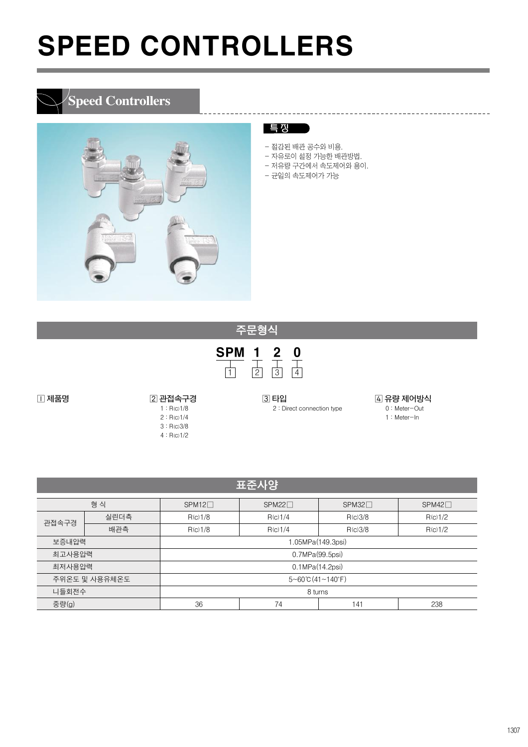## **Speed Controllers**



#### 특 징

- 절감된 배관 공수와 비용.
- 자유로이 설정 가능한 배관방법.
- 저유량 구간에서 속도제어와 용이.
- 균일의 속도제어가 가능

□ 제품명 2 프레스 2 관접속구경 1 : R(c)1/8 2 : R(c)1/4 3 : R(c)3/8  $4 : R(c)1/2$ 

**3 타입** 2 : Direct connection type

 유량 제어방식 0 : Meter-Out 1 : Meter-In

---------------------------------

| 표준사양 <sup> </sup> |      |                            |         |         |             |  |  |
|-------------------|------|----------------------------|---------|---------|-------------|--|--|
| 형 식               |      | $SPM12\Box$<br>$SPM22\Box$ |         | SPM32   | $SPM42\Box$ |  |  |
| 관접속구경             | 실린더측 | R(c)1/8                    | R(c)1/4 | R(c)3/8 | R(c)1/2     |  |  |
|                   | 배관측  | R(c)1/8                    | R(c)1/4 | R(c)3/8 | R(c)1/2     |  |  |
| 보증내압력             |      | 1.05MPa(149.3psi)          |         |         |             |  |  |
| 최고사용압력            |      | 0.7MPa(99.5psi)            |         |         |             |  |  |
| 최저사용압력            |      | 0.1MPa(14.2psi)            |         |         |             |  |  |
| 주위온도 및 사용유체온도     |      | $5 - 60$ °C (41 ~ 140°F)   |         |         |             |  |  |
| 니들회전수             |      | 8 turns                    |         |         |             |  |  |
| 중량(g)             |      | 36                         | 74      | 141     | 238         |  |  |

SPM 1 2 0

주문형식

1 | 2 | 3 | 4